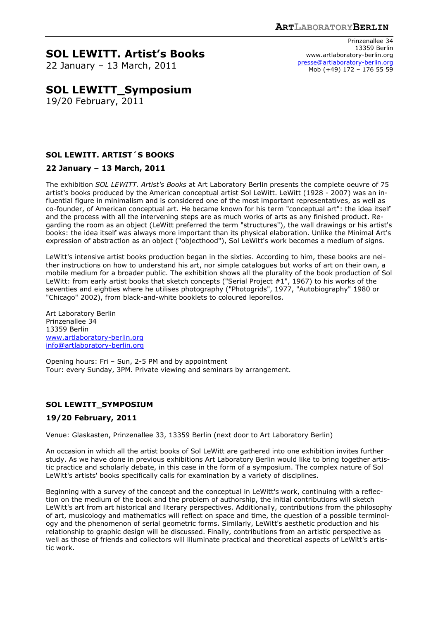# **SOL LEWITT. Artist's Books**

22 January – 13 March, 2011

# **SOL LEWITT\_Symposium**

19/20 February, 2011

# **SOL LEWITT. ARTIST´S BOOKS**

### **22 January – 13 March, 2011**

The exhibition *SOL LEWITT. Artist's Books* at Art Laboratory Berlin presents the complete oeuvre of 75 artist's books produced by the American conceptual artist Sol LeWitt. LeWitt (1928 - 2007) was an influential figure in minimalism and is considered one of the most important representatives, as well as co-founder, of American conceptual art. He became known for his term "conceptual art": the idea itself and the process with all the intervening steps are as much works of arts as any finished product. Regarding the room as an object (LeWitt preferred the term "structures"), the wall drawings or his artist's books: the idea itself was always more important than its physical elaboration. Unlike the Minimal Art's expression of abstraction as an object ("objecthood"), Sol LeWitt's work becomes a medium of signs.

LeWitt's intensive artist books production began in the sixties. According to him, these books are neither instructions on how to understand his art, nor simple catalogues but works of art on their own, a mobile medium for a broader public. The exhibition shows all the plurality of the book production of Sol LeWitt: from early artist books that sketch concepts ("Serial Project #1", 1967) to his works of the seventies and eighties where he utilises photography ("Photogrids", 1977, "Autobiography" 1980 or "Chicago" 2002), from black-and-white booklets to coloured leporellos.

Art Laboratory Berlin Prinzenallee 34 13359 Berlin www.artlaboratory-berlin.org info@artlaboratory-berlin.org

Opening hours: Fri – Sun, 2-5 PM and by appointment Tour: every Sunday, 3PM. Private viewing and seminars by arrangement.

## **SOL LEWITT\_SYMPOSIUM**

#### **19/20 February, 2011**

Venue: Glaskasten, Prinzenallee 33, 13359 Berlin (next door to Art Laboratory Berlin)

An occasion in which all the artist books of Sol LeWitt are gathered into one exhibition invites further study. As we have done in previous exhibitions Art Laboratory Berlin would like to bring together artistic practice and scholarly debate, in this case in the form of a symposium. The complex nature of Sol LeWitt's artists' books specifically calls for examination by a variety of disciplines.

Beginning with a survey of the concept and the conceptual in LeWitt's work, continuing with a reflection on the medium of the book and the problem of authorship, the initial contributions will sketch LeWitt's art from art historical and literary perspectives. Additionally, contributions from the philosophy of art, musicology and mathematics will reflect on space and time, the question of a possible terminology and the phenomenon of serial geometric forms. Similarly, LeWitt's aesthetic production and his relationship to graphic design will be discussed. Finally, contributions from an artistic perspective as well as those of friends and collectors will illuminate practical and theoretical aspects of LeWitt's artistic work.

Prinzenallee 34 13359 Berlin www.artlaboratory-berlin.org presse@artlaboratory-berlin.org Mob (+49) 172 – 176 55 59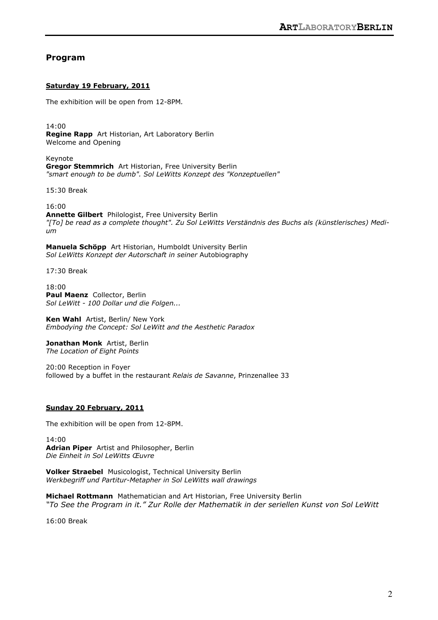# **Program**

#### **Saturday 19 February, 2011**

The exhibition will be open from 12-8PM*.* 

14:00 **Regine Rapp** Art Historian, Art Laboratory Berlin Welcome and Opening

Keynote **Gregor Stemmrich** Art Historian, Free University Berlin *"smart enough to be dumb". Sol LeWitts Konzept des "Konzeptuellen"* 

15:30 Break

16:00

**Annette Gilbert** Philologist, Free University Berlin *"[To] be read as a complete thought". Zu Sol LeWitts Verständnis des Buchs als (künstlerisches) Medium* 

**Manuela Schöpp** Art Historian, Humboldt University Berlin *Sol LeWitts Konzept der Autorschaft in seiner* Autobiography

17:30 Break

18:00 **Paul Maenz** Collector, Berlin *Sol LeWitt - 100 Dollar und die Folgen...* 

**Ken Wahl** Artist, Berlin/ New York *Embodying the Concept: Sol LeWitt and the Aesthetic Paradox* 

**Jonathan Monk** Artist, Berlin *The Location of Eight Points* 

20:00 Reception in Foyer followed by a buffet in the restaurant *Relais de Savanne*, Prinzenallee 33

#### **Sunday 20 February, 2011**

The exhibition will be open from 12-8PM.

14:00 **Adrian Piper** Artist and Philosopher, Berlin *Die Einheit in Sol LeWitts Œuvre* 

**Volker Straebel** Musicologist, Technical University Berlin *Werkbegriff und Partitur-Metapher in Sol LeWitts wall drawings* 

**Michael Rottmann** Mathematician and Art Historian, Free University Berlin *"To See the Program in it." Zur Rolle der Mathematik in der seriellen Kunst von Sol LeWitt*

16:00 Break